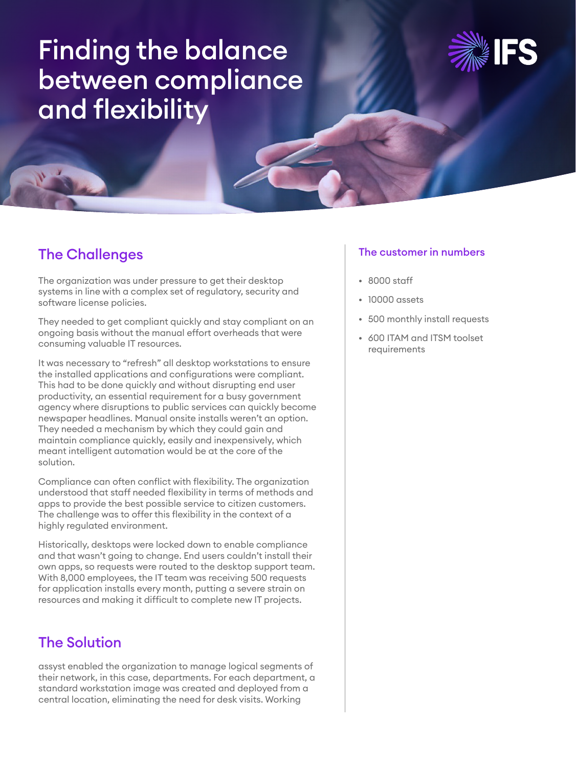# Finding the balance between compliance and flexibility



## The Challenges

The organization was under pressure to get their desktop systems in line with a complex set of regulatory, security and software license policies.

They needed to get compliant quickly and stay compliant on an ongoing basis without the manual effort overheads that were consuming valuable IT resources.

It was necessary to "refresh" all desktop workstations to ensure the installed applications and configurations were compliant. This had to be done quickly and without disrupting end user productivity, an essential requirement for a busy government agency where disruptions to public services can quickly become newspaper headlines. Manual onsite installs weren't an option. They needed a mechanism by which they could gain and maintain compliance quickly, easily and inexpensively, which meant intelligent automation would be at the core of the solution.

Compliance can often conflict with flexibility. The organization understood that staff needed flexibility in terms of methods and apps to provide the best possible service to citizen customers. The challenge was to offer this flexibility in the context of a highly regulated environment.

Historically, desktops were locked down to enable compliance and that wasn't going to change. End users couldn't install their own apps, so requests were routed to the desktop support team. With 8,000 employees, the IT team was receiving 500 requests for application installs every month, putting a severe strain on resources and making it difficult to complete new IT projects.

## The Solution

assyst enabled the organization to manage logical segments of their network, in this case, departments. For each department, a standard workstation image was created and deployed from a central location, eliminating the need for desk visits. Working

#### The customer in numbers

- 8000 staff
- 10000 assets
- 500 monthly install requests
- 600 ITAM and ITSM toolset requirements